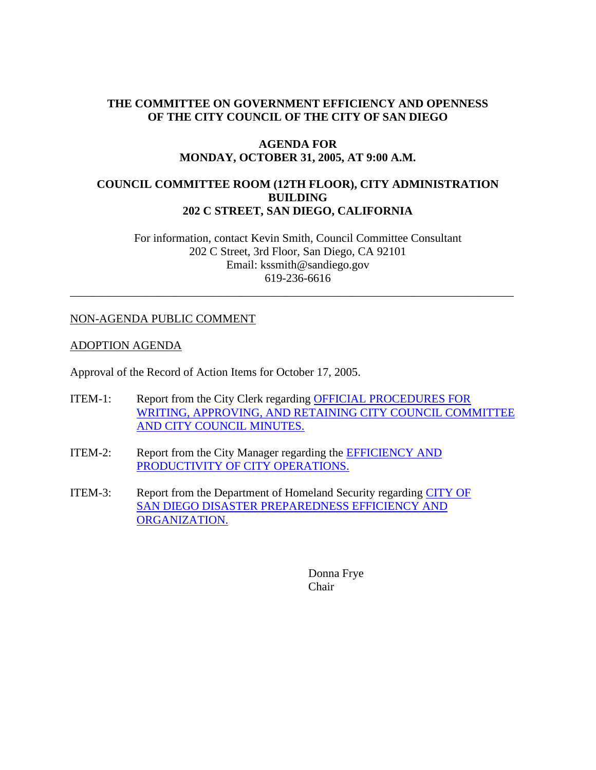# **THE COMMITTEE ON GOVERNMENT EFFICIENCY AND OPENNESS OF THE CITY COUNCIL OF THE CITY OF SAN DIEGO**

#### **AGENDA FOR MONDAY, OCTOBER 31, 2005, AT 9:00 A.M.**

## **COUNCIL COMMITTEE ROOM (12TH FLOOR), CITY ADMINISTRATION BUILDING 202 C STREET, SAN DIEGO, CALIFORNIA**

For information, contact Kevin Smith, Council Committee Consultant 202 C Street, 3rd Floor, San Diego, CA 92101 Email: kssmith@sandiego.gov 619-236-6616

\_\_\_\_\_\_\_\_\_\_\_\_\_\_\_\_\_\_\_\_\_\_\_\_\_\_\_\_\_\_\_\_\_\_\_\_\_\_\_\_\_\_\_\_\_\_\_\_\_\_\_\_\_\_\_\_\_\_\_\_\_\_\_\_\_\_\_\_\_\_\_\_\_\_\_\_

## NON-AGENDA PUBLIC COMMENT

#### ADOPTION AGENDA

Approval of the Record of Action Items for October 17, 2005.

- ITEM-1: Report from the City Clerk regarding OFFICIAL PROCEDURES FOR WRITING, APPROVING, AND RETAINING CITY COUNCIL COMMITTEE AND CITY COUNCIL MINUTES.
- ITEM-2: Report from the City Manager regarding the EFFICIENCY AND PRODUCTIVITY OF CITY OPERATIONS.
- ITEM-3: Report from the Department of Homeland Security regarding CITY OF SAN DIEGO DISASTER PREPAREDNESS EFFICIENCY AND ORGANIZATION.

Donna Frye Chair